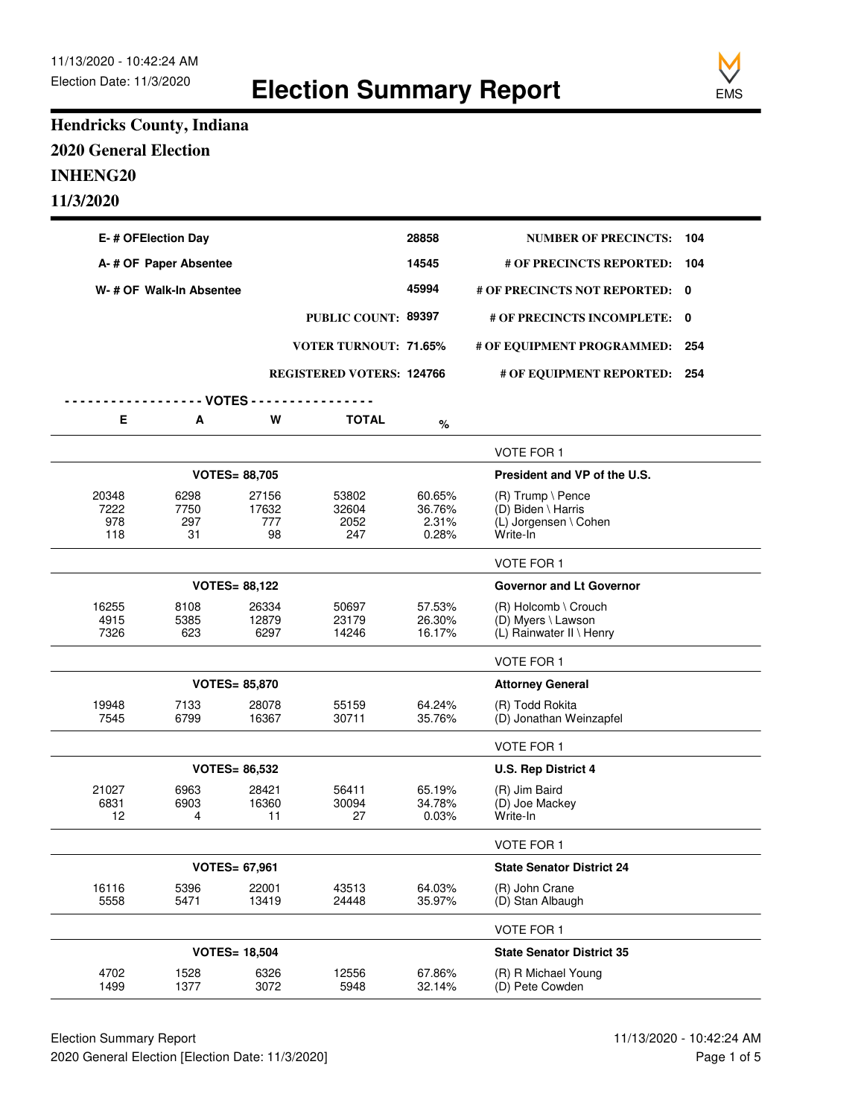**Election Summary Report**



## **Hendricks County, Indiana 2020 General Election INHENG20 11/3/2020**

| E-# OFElection Day      |              |                      |                                  | 28858            | <b>NUMBER OF PRECINCTS:</b>                    | 104 |
|-------------------------|--------------|----------------------|----------------------------------|------------------|------------------------------------------------|-----|
| A-# OF Paper Absentee   |              |                      |                                  |                  | # OF PRECINCTS REPORTED:                       | 104 |
| W-# OF Walk-In Absentee |              |                      |                                  | 45994            | # OF PRECINCTS NOT REPORTED: 0                 |     |
|                         |              |                      | PUBLIC COUNT: 89397              |                  | # OF PRECINCTS INCOMPLETE: 0                   |     |
|                         |              |                      | <b>VOTER TURNOUT: 71.65%</b>     |                  | # OF EQUIPMENT PROGRAMMED:                     | 254 |
|                         |              |                      | <b>REGISTERED VOTERS: 124766</b> |                  | # OF EQUIPMENT REPORTED: 254                   |     |
|                         |              | - VOTES -            |                                  |                  |                                                |     |
| Е                       | A            | W                    | <b>TOTAL</b>                     | %                |                                                |     |
|                         |              |                      |                                  |                  |                                                |     |
|                         |              |                      |                                  |                  | <b>VOTE FOR 1</b>                              |     |
|                         |              | <b>VOTES= 88,705</b> |                                  |                  | President and VP of the U.S.                   |     |
| 20348<br>7222           | 6298<br>7750 | 27156<br>17632       | 53802<br>32604                   | 60.65%<br>36.76% | $(R)$ Trump \ Pence<br>(D) Biden \ Harris      |     |
| 978                     | 297          | 777                  | 2052                             | 2.31%            | (L) Jorgensen \ Cohen                          |     |
| 118                     | 31           | 98                   | 247                              | 0.28%            | Write-In                                       |     |
|                         |              |                      |                                  |                  | <b>VOTE FOR 1</b>                              |     |
|                         |              | <b>VOTES= 88,122</b> |                                  |                  | <b>Governor and Lt Governor</b>                |     |
| 16255                   | 8108         | 26334                | 50697                            | 57.53%           | $(R)$ Holcomb \ Crouch                         |     |
| 4915<br>7326            | 5385<br>623  | 12879<br>6297        | 23179<br>14246                   | 26.30%<br>16.17% | (D) Myers \ Lawson<br>(L) Rainwater II \ Henry |     |
|                         |              |                      |                                  |                  | <b>VOTE FOR 1</b>                              |     |
|                         |              |                      |                                  |                  |                                                |     |
|                         |              | <b>VOTES= 85,870</b> |                                  |                  | <b>Attorney General</b>                        |     |
| 19948<br>7545           | 7133<br>6799 | 28078<br>16367       | 55159<br>30711                   | 64.24%<br>35.76% | (R) Todd Rokita<br>(D) Jonathan Weinzapfel     |     |
|                         |              |                      |                                  |                  | <b>VOTE FOR 1</b>                              |     |
|                         |              | <b>VOTES= 86,532</b> |                                  |                  | <b>U.S. Rep District 4</b>                     |     |
| 21027                   | 6963         | 28421                | 56411                            | 65.19%           | (R) Jim Baird                                  |     |
| 6831<br>12              | 6903<br>4    | 16360<br>11          | 30094<br>27                      | 34.78%<br>0.03%  | (D) Joe Mackey<br>Write-In                     |     |
|                         |              |                      |                                  |                  | <b>VOTE FOR 1</b>                              |     |
| <b>VOTES= 67,961</b>    |              |                      |                                  |                  | <b>State Senator District 24</b>               |     |
| 16116                   | 5396         | 22001                | 43513                            | 64.03%           | (R) John Crane                                 |     |
| 5558                    | 5471         | 13419                | 24448                            | 35.97%           | (D) Stan Albaugh                               |     |
|                         |              |                      |                                  |                  | VOTE FOR 1                                     |     |
|                         |              | <b>VOTES= 18,504</b> |                                  |                  | <b>State Senator District 35</b>               |     |
| 4702<br>1499            | 1528<br>1377 | 6326<br>3072         | 12556<br>5948                    | 67.86%<br>32.14% | (R) R Michael Young<br>(D) Pete Cowden         |     |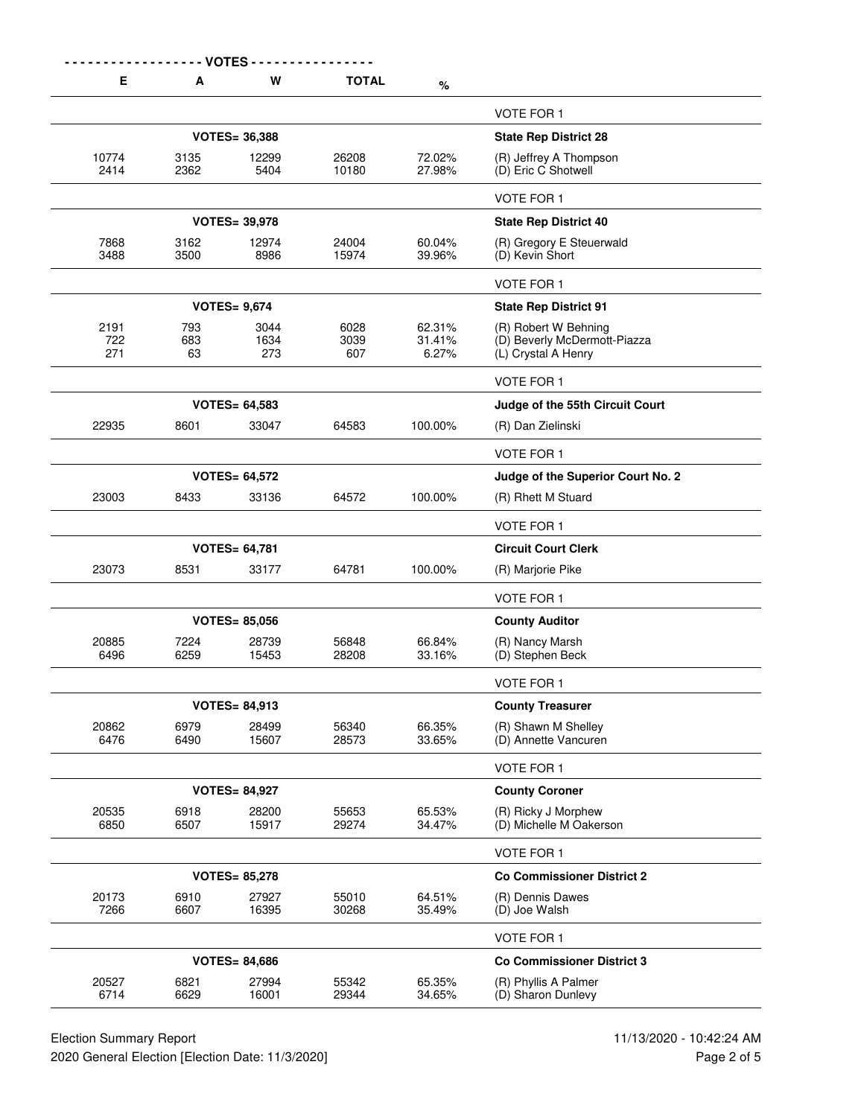|--|--|

**E A W TOTAL %**

|                    |                  |                      |                     |                           | <b>VOTE FOR 1</b>                                                           |
|--------------------|------------------|----------------------|---------------------|---------------------------|-----------------------------------------------------------------------------|
|                    |                  | <b>VOTES= 36,388</b> |                     |                           | <b>State Rep District 28</b>                                                |
| 10774<br>2414      | 3135<br>2362     | 12299<br>5404        | 26208<br>10180      | 72.02%<br>27.98%          | (R) Jeffrey A Thompson<br>(D) Eric C Shotwell                               |
|                    |                  |                      |                     |                           | <b>VOTE FOR 1</b>                                                           |
|                    |                  | <b>VOTES= 39,978</b> |                     |                           | <b>State Rep District 40</b>                                                |
| 7868<br>3488       | 3162<br>3500     | 12974<br>8986        | 24004<br>15974      | 60.04%<br>39.96%          | (R) Gregory E Steuerwald<br>(D) Kevin Short                                 |
|                    |                  |                      |                     |                           | VOTE FOR 1                                                                  |
|                    |                  | <b>VOTES= 9,674</b>  |                     |                           | <b>State Rep District 91</b>                                                |
| 2191<br>722<br>271 | 793<br>683<br>63 | 3044<br>1634<br>273  | 6028<br>3039<br>607 | 62.31%<br>31.41%<br>6.27% | (R) Robert W Behning<br>(D) Beverly McDermott-Piazza<br>(L) Crystal A Henry |
|                    |                  |                      |                     |                           | VOTE FOR 1                                                                  |
|                    |                  | <b>VOTES= 64,583</b> |                     |                           | Judge of the 55th Circuit Court                                             |
| 22935              | 8601             | 33047                | 64583               | 100.00%                   | (R) Dan Zielinski                                                           |
|                    |                  |                      |                     |                           | <b>VOTE FOR 1</b>                                                           |
|                    |                  | <b>VOTES= 64,572</b> |                     |                           | Judge of the Superior Court No. 2                                           |
| 23003              | 8433             | 33136                | 64572               | 100.00%                   | (R) Rhett M Stuard                                                          |
|                    |                  |                      |                     |                           | <b>VOTE FOR 1</b>                                                           |
|                    |                  | <b>VOTES= 64,781</b> |                     |                           | <b>Circuit Court Clerk</b>                                                  |
| 23073              | 8531             | 33177                | 64781               | 100.00%                   | (R) Marjorie Pike                                                           |
|                    |                  |                      |                     |                           | <b>VOTE FOR 1</b>                                                           |
|                    |                  | <b>VOTES= 85,056</b> |                     |                           | <b>County Auditor</b>                                                       |
| 20885<br>6496      | 7224<br>6259     | 28739<br>15453       | 56848<br>28208      | 66.84%<br>33.16%          | (R) Nancy Marsh<br>(D) Stephen Beck                                         |
|                    |                  |                      |                     |                           | <b>VOTE FOR 1</b>                                                           |
|                    |                  | <b>VOTES= 84,913</b> |                     |                           | <b>County Treasurer</b>                                                     |
| 20862<br>6476      | 6979<br>6490     | 28499<br>15607       | 56340<br>28573      | 66.35%<br>33.65%          | (R) Shawn M Shelley<br>(D) Annette Vancuren                                 |
|                    |                  |                      |                     |                           | <b>VOTE FOR 1</b>                                                           |
|                    |                  | <b>VOTES= 84,927</b> |                     |                           | <b>County Coroner</b>                                                       |
| 20535<br>6850      | 6918<br>6507     | 28200<br>15917       | 55653<br>29274      | 65.53%<br>34.47%          | (R) Ricky J Morphew<br>(D) Michelle M Oakerson                              |
|                    |                  |                      |                     |                           | <b>VOTE FOR 1</b>                                                           |
|                    |                  | <b>VOTES= 85,278</b> |                     |                           | <b>Co Commissioner District 2</b>                                           |
| 20173<br>7266      | 6910<br>6607     | 27927<br>16395       | 55010<br>30268      | 64.51%<br>35.49%          | (R) Dennis Dawes<br>(D) Joe Walsh                                           |
|                    |                  |                      |                     |                           | VOTE FOR 1                                                                  |
|                    |                  | <b>VOTES= 84,686</b> |                     |                           | <b>Co Commissioner District 3</b>                                           |
|                    | 6821             | 27994                | 55342               | 65.35%                    | (R) Phyllis A Palmer                                                        |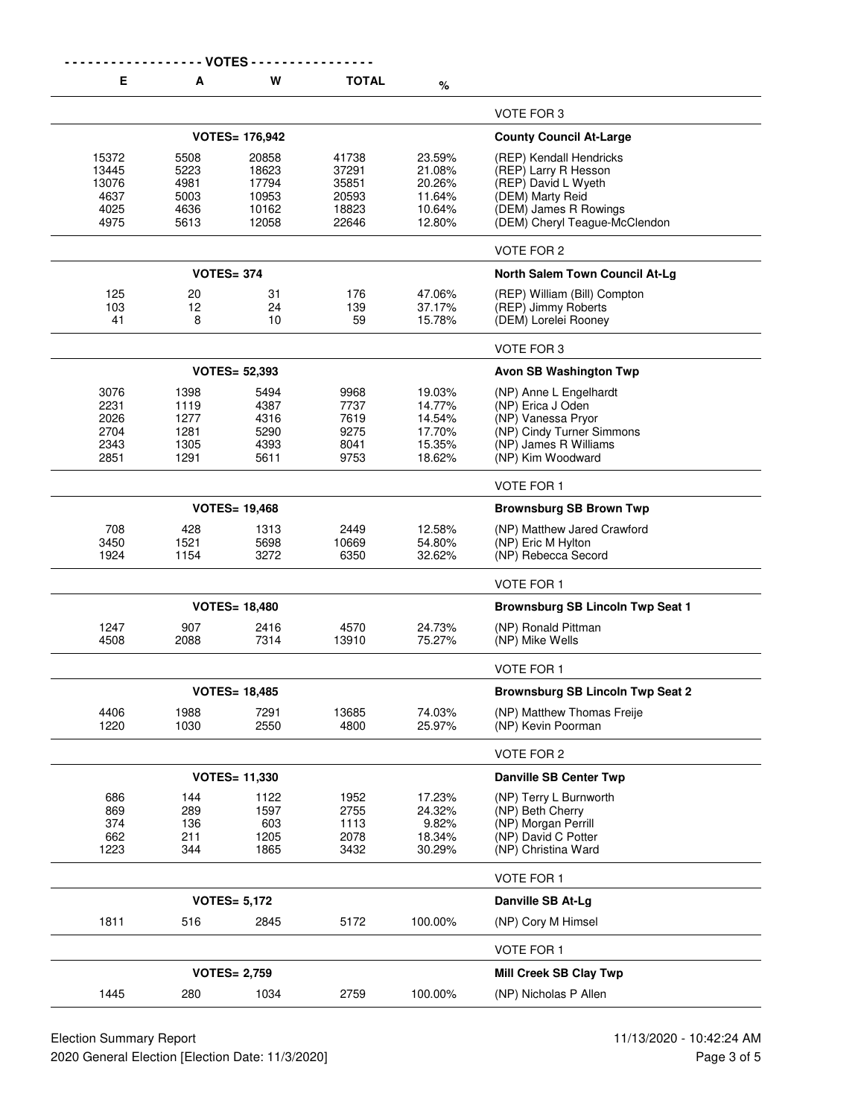|                                                 |                                              | <b>VOTES -</b>                                     |                                                    |                                                          |                                                                                                                                                      |
|-------------------------------------------------|----------------------------------------------|----------------------------------------------------|----------------------------------------------------|----------------------------------------------------------|------------------------------------------------------------------------------------------------------------------------------------------------------|
| E.                                              | A                                            | W                                                  | <b>TOTAL</b>                                       | %                                                        |                                                                                                                                                      |
|                                                 |                                              |                                                    |                                                    |                                                          | VOTE FOR 3                                                                                                                                           |
|                                                 |                                              | <b>VOTES= 176,942</b>                              |                                                    |                                                          | <b>County Council At-Large</b>                                                                                                                       |
| 15372<br>13445<br>13076<br>4637<br>4025<br>4975 | 5508<br>5223<br>4981<br>5003<br>4636<br>5613 | 20858<br>18623<br>17794<br>10953<br>10162<br>12058 | 41738<br>37291<br>35851<br>20593<br>18823<br>22646 | 23.59%<br>21.08%<br>20.26%<br>11.64%<br>10.64%<br>12.80% | (REP) Kendall Hendricks<br>(REP) Larry R Hesson<br>(REP) David L Wyeth<br>(DEM) Marty Reid<br>(DEM) James R Rowings<br>(DEM) Cheryl Teague-McClendon |
|                                                 |                                              |                                                    |                                                    |                                                          | VOTE FOR 2                                                                                                                                           |
|                                                 |                                              | <b>VOTES= 374</b>                                  |                                                    |                                                          | North Salem Town Council At-Lg                                                                                                                       |
| 125<br>103<br>41                                | 20<br>12<br>8                                | 31<br>24<br>10                                     | 176<br>139<br>59                                   | 47.06%<br>37.17%<br>15.78%                               | (REP) William (Bill) Compton<br>(REP) Jimmy Roberts<br>(DEM) Lorelei Rooney                                                                          |
|                                                 |                                              |                                                    |                                                    |                                                          | VOTE FOR 3                                                                                                                                           |
|                                                 |                                              | <b>VOTES= 52,393</b>                               |                                                    |                                                          | <b>Avon SB Washington Twp</b>                                                                                                                        |
| 3076<br>2231<br>2026<br>2704<br>2343<br>2851    | 1398<br>1119<br>1277<br>1281<br>1305<br>1291 | 5494<br>4387<br>4316<br>5290<br>4393<br>5611       | 9968<br>7737<br>7619<br>9275<br>8041<br>9753       | 19.03%<br>14.77%<br>14.54%<br>17.70%<br>15.35%<br>18.62% | (NP) Anne L Engelhardt<br>(NP) Erica J Oden<br>(NP) Vanessa Pryor<br>(NP) Cindy Turner Simmons<br>(NP) James R Williams<br>(NP) Kim Woodward         |
|                                                 |                                              |                                                    |                                                    |                                                          | <b>VOTE FOR 1</b>                                                                                                                                    |
|                                                 |                                              | <b>VOTES= 19,468</b>                               |                                                    |                                                          | <b>Brownsburg SB Brown Twp</b>                                                                                                                       |
| 708<br>3450<br>1924                             | 428<br>1521<br>1154                          | 1313<br>5698<br>3272                               | 2449<br>10669<br>6350                              | 12.58%<br>54.80%<br>32.62%                               | (NP) Matthew Jared Crawford<br>(NP) Eric M Hylton<br>(NP) Rebecca Secord                                                                             |
|                                                 |                                              |                                                    |                                                    |                                                          | <b>VOTE FOR 1</b>                                                                                                                                    |
|                                                 |                                              | <b>VOTES= 18,480</b>                               |                                                    |                                                          | <b>Brownsburg SB Lincoln Twp Seat 1</b>                                                                                                              |
| 1247<br>4508                                    | 907<br>2088                                  | 2416<br>7314                                       | 4570<br>13910                                      | 24.73%<br>75.27%                                         | (NP) Ronald Pittman<br>(NP) Mike Wells                                                                                                               |
|                                                 |                                              |                                                    |                                                    |                                                          | <b>VOTE FOR 1</b>                                                                                                                                    |
|                                                 |                                              | <b>VOTES= 18,485</b>                               |                                                    |                                                          | <b>Brownsburg SB Lincoln Twp Seat 2</b>                                                                                                              |
| 4406<br>1220                                    | 1988<br>1030                                 | 7291<br>2550                                       | 13685<br>4800                                      | 74.03%<br>25.97%                                         | (NP) Matthew Thomas Freije<br>(NP) Kevin Poorman                                                                                                     |
|                                                 |                                              |                                                    |                                                    |                                                          | VOTE FOR 2                                                                                                                                           |
|                                                 |                                              | <b>VOTES= 11,330</b>                               |                                                    |                                                          | <b>Danville SB Center Twp</b>                                                                                                                        |
| 686<br>869<br>374<br>662<br>1223                | 144<br>289<br>136<br>211<br>344              | 1122<br>1597<br>603<br>1205<br>1865                | 1952<br>2755<br>1113<br>2078<br>3432               | 17.23%<br>24.32%<br>9.82%<br>18.34%<br>30.29%            | (NP) Terry L Burnworth<br>(NP) Beth Cherry<br>(NP) Morgan Perrill<br>(NP) David C Potter<br>(NP) Christina Ward                                      |
|                                                 |                                              |                                                    |                                                    |                                                          | VOTE FOR 1                                                                                                                                           |
|                                                 |                                              | <b>VOTES= 5,172</b>                                |                                                    |                                                          | Danville SB At-Lg                                                                                                                                    |
| 1811                                            | 516                                          | 2845                                               | 5172                                               | 100.00%                                                  | (NP) Cory M Himsel                                                                                                                                   |
|                                                 |                                              |                                                    |                                                    |                                                          | <b>VOTE FOR 1</b>                                                                                                                                    |
|                                                 |                                              | <b>VOTES= 2,759</b>                                |                                                    |                                                          | <b>Mill Creek SB Clay Twp</b>                                                                                                                        |
| 1445                                            | 280                                          | 1034                                               | 2759                                               | 100.00%                                                  | (NP) Nicholas P Allen                                                                                                                                |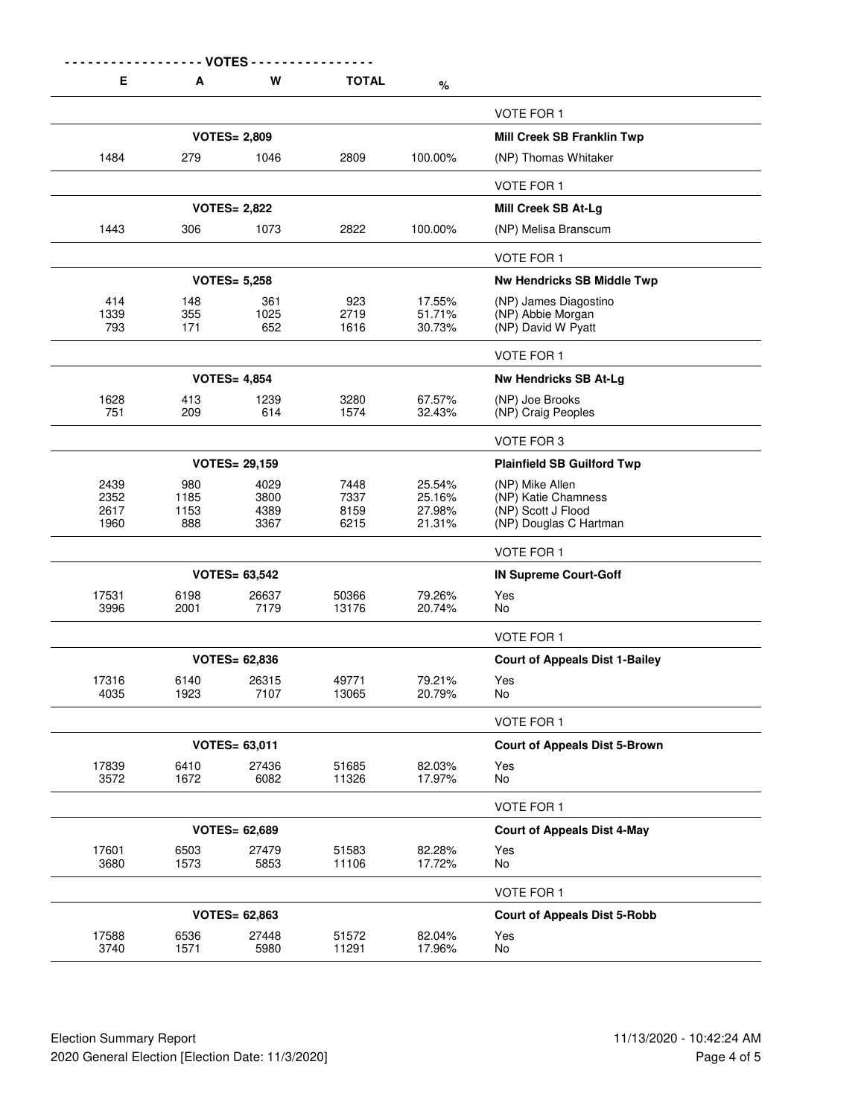| Е             | A            | W                    | <b>TOTAL</b>   | $\%$             |                                              |
|---------------|--------------|----------------------|----------------|------------------|----------------------------------------------|
|               |              |                      |                |                  | <b>VOTE FOR 1</b>                            |
|               |              | <b>VOTES= 2,809</b>  |                |                  | Mill Creek SB Franklin Twp                   |
| 1484          | 279          | 1046                 | 2809           | 100.00%          | (NP) Thomas Whitaker                         |
|               |              |                      |                |                  | <b>VOTE FOR 1</b>                            |
|               |              | <b>VOTES= 2,822</b>  |                |                  | Mill Creek SB At-Lg                          |
| 1443          | 306          | 1073                 | 2822           | 100.00%          | (NP) Melisa Branscum                         |
|               |              |                      |                |                  | <b>VOTE FOR 1</b>                            |
|               |              | <b>VOTES= 5,258</b>  |                |                  | <b>Nw Hendricks SB Middle Twp</b>            |
| 414           | 148          | 361                  | 923            | 17.55%           | (NP) James Diagostino                        |
| 1339<br>793   | 355<br>171   | 1025<br>652          | 2719<br>1616   | 51.71%<br>30.73% | (NP) Abbie Morgan<br>(NP) David W Pyatt      |
|               |              |                      |                |                  |                                              |
|               |              |                      |                |                  | <b>VOTE FOR 1</b>                            |
|               |              | <b>VOTES= 4,854</b>  |                |                  | <b>Nw Hendricks SB At-Lg</b>                 |
| 1628<br>751   | 413<br>209   | 1239<br>614          | 3280<br>1574   | 67.57%<br>32.43% | (NP) Joe Brooks<br>(NP) Craig Peoples        |
|               |              |                      |                |                  | VOTE FOR 3                                   |
|               |              | <b>VOTES= 29,159</b> |                |                  | <b>Plainfield SB Guilford Twp</b>            |
| 2439          | 980          | 4029                 | 7448           | 25.54%           | (NP) Mike Allen                              |
| 2352<br>2617  | 1185<br>1153 | 3800<br>4389         | 7337<br>8159   | 25.16%<br>27.98% | (NP) Katie Chamness                          |
| 1960          | 888          | 3367                 | 6215           | 21.31%           | (NP) Scott J Flood<br>(NP) Douglas C Hartman |
|               |              |                      |                |                  | VOTE FOR 1                                   |
|               |              | <b>VOTES= 63,542</b> |                |                  | <b>IN Supreme Court-Goff</b>                 |
| 17531         | 6198         | 26637                | 50366          | 79.26%           | Yes                                          |
| 3996          | 2001         | 7179                 | 13176          | 20.74%           | No                                           |
|               |              |                      |                |                  | VOTE FOR 1                                   |
|               |              | <b>VOTES= 62,836</b> |                |                  | <b>Court of Appeals Dist 1-Bailey</b>        |
| 17316<br>4035 | 6140<br>1923 | 26315<br>7107        | 49771<br>13065 | 79.21%<br>20.79% | Yes<br>No.                                   |
|               |              |                      |                |                  | VOTE FOR 1                                   |
|               |              | <b>VOTES= 63,011</b> |                |                  | <b>Court of Appeals Dist 5-Brown</b>         |
| 17839         | 6410         | 27436                | 51685          | 82.03%           | Yes                                          |
| 3572          | 1672         | 6082                 | 11326          | 17.97%           | No                                           |
|               |              |                      |                |                  | VOTE FOR 1                                   |
|               |              | <b>VOTES= 62,689</b> |                |                  | <b>Court of Appeals Dist 4-May</b>           |
| 17601<br>3680 | 6503<br>1573 | 27479<br>5853        | 51583<br>11106 | 82.28%<br>17.72% | Yes<br>No                                    |
|               |              |                      |                |                  | VOTE FOR 1                                   |
|               |              | <b>VOTES= 62,863</b> |                |                  | <b>Court of Appeals Dist 5-Robb</b>          |
| 17588         | 6536         | 27448                | 51572          | 82.04%           | Yes                                          |
| 3740          | 1571         | 5980                 | 11291          | 17.96%           | No                                           |